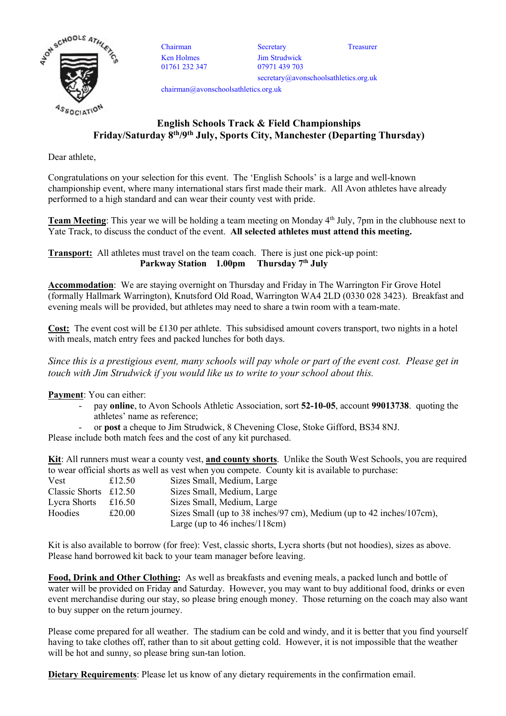

Ken Holmes 01761 232 347

Chairman Secretary Treasurer Jim Strudwick 07971 439 703 secretary@avonschoolsathletics.org.uk

chairman@avonschoolsathletics.org.uk

## English Schools Track & Field Championships Friday/Saturday 8th/9th July, Sports City, Manchester (Departing Thursday)

Dear athlete,

Congratulations on your selection for this event. The 'English Schools' is a large and well-known championship event, where many international stars first made their mark. All Avon athletes have already performed to a high standard and can wear their county vest with pride.

Team Meeting: This year we will be holding a team meeting on Monday 4<sup>th</sup> July, 7pm in the clubhouse next to Yate Track, to discuss the conduct of the event. All selected athletes must attend this meeting.

Transport: All athletes must travel on the team coach. There is just one pick-up point: Parkway Station 1.00pm Thursday 7<sup>th</sup> July

Accommodation: We are staying overnight on Thursday and Friday in The Warrington Fir Grove Hotel (formally Hallmark Warrington), Knutsford Old Road, Warrington WA4 2LD (0330 028 3423). Breakfast and evening meals will be provided, but athletes may need to share a twin room with a team-mate.

Cost: The event cost will be £130 per athlete. This subsidised amount covers transport, two nights in a hotel with meals, match entry fees and packed lunches for both days.

Since this is a prestigious event, many schools will pay whole or part of the event cost. Please get in touch with Jim Strudwick if you would like us to write to your school about this.

Payment: You can either:

- pay online, to Avon Schools Athletic Association, sort 52-10-05, account 99013738. quoting the athletes' name as reference;
- or post a cheque to Jim Strudwick, 8 Chevening Close, Stoke Gifford, BS34 8NJ.

Please include both match fees and the cost of any kit purchased.

Kit: All runners must wear a county vest, and county shorts. Unlike the South West Schools, you are required to wear official shorts as well as vest when you compete. County kit is available to purchase:

| Vest                    | £12.50 | Sizes Small, Medium, Large                                            |
|-------------------------|--------|-----------------------------------------------------------------------|
| Classic Shorts $£12.50$ |        | Sizes Small, Medium, Large                                            |
| Lycra Shorts            | £16.50 | Sizes Small, Medium, Large                                            |
| Hoodies                 | £20.00 | Sizes Small (up to 38 inches/97 cm), Medium (up to 42 inches/107 cm), |
|                         |        | Large (up to $46$ inches/ $118$ cm)                                   |

Kit is also available to borrow (for free): Vest, classic shorts, Lycra shorts (but not hoodies), sizes as above. Please hand borrowed kit back to your team manager before leaving.

Food, Drink and Other Clothing: As well as breakfasts and evening meals, a packed lunch and bottle of water will be provided on Friday and Saturday. However, you may want to buy additional food, drinks or even event merchandise during our stay, so please bring enough money. Those returning on the coach may also want to buy supper on the return journey.

Please come prepared for all weather. The stadium can be cold and windy, and it is better that you find yourself having to take clothes off, rather than to sit about getting cold. However, it is not impossible that the weather will be hot and sunny, so please bring sun-tan lotion.

Dietary Requirements: Please let us know of any dietary requirements in the confirmation email.